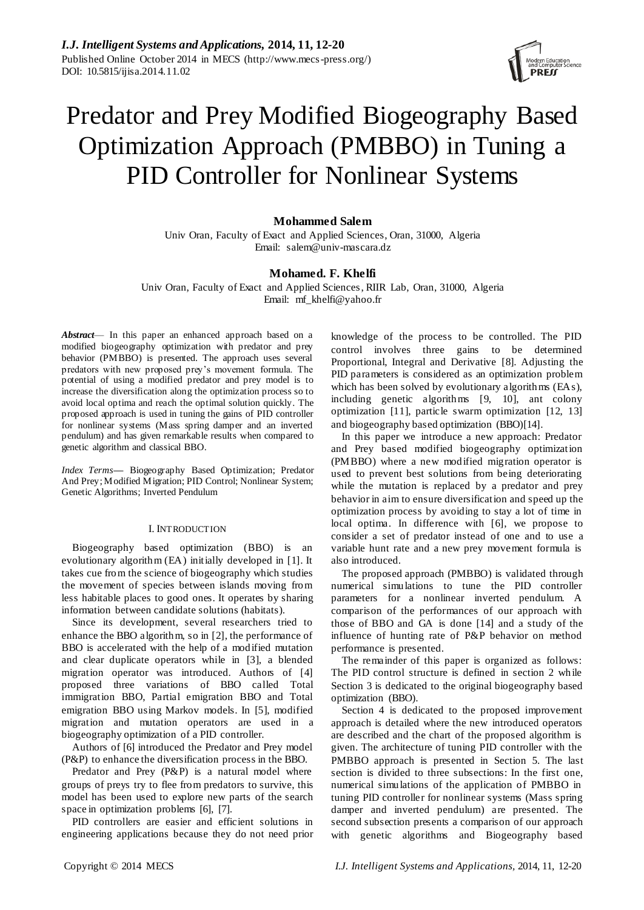

# Predator and Prey Modified Biogeography Based Optimization Approach (PMBBO) in Tuning a PID Controller for Nonlinear Systems

# **Mohammed Salem**

Univ Oran, Faculty of Exact and Applied Sciences, Oran, 31000, Algeria Email: salem@univ-mascara.dz

# **Mohamed. F. Khelfi**

Univ Oran, Faculty of Exact and Applied Sciences, RIIR Lab, Oran, 31000, Algeria Email: mf\_khelfi@yahoo.fr

*Abstract*— In this paper an enhanced approach based on a modified biogeography optimization with predator and prey behavior (PMBBO) is presented. The approach uses several predators with new proposed prey's movement formula. The potential of using a modified predator and prey model is to increase the diversification along the optimization process so to avoid local optima and reach the optimal solution quickly. The proposed approach is used in tuning the gains of PID controller for nonlinear systems (Mass spring damper and an inverted pendulum) and has given remarkable results when compared to genetic algorithm and classical BBO.

*Index Terms***—** Biogeography Based Optimization; Predator And Prey; Modified Migration; PID Control; Nonlinear System; Genetic Algorithms; Inverted Pendulum

## I. INTRODUCTION

Biogeography based optimization (BBO) is an evolutionary algorithm (EA) initially developed in [1]. It takes cue from the science of biogeography which studies the movement of species between islands moving from less habitable places to good ones. It operates by sharing information between candidate solutions (habitats).

Since its development, several researchers tried to enhance the BBO algorithm, so in [2], the performance of BBO is accelerated with the help of a modified mutation and clear duplicate operators while in [3], a blended migration operator was introduced. Authors of [4] proposed three variations of BBO called Total immigration BBO, Partial emigration BBO and Total emigration BBO using Markov models. In [5], modified migration and mutation operators are used in a biogeography optimization of a PID controller.

Authors of [6] introduced the Predator and Prey model (P&P) to enhance the diversification process in the BBO.

Predator and Prey (P&P) is a natural model where groups of preys try to flee from predators to survive, this model has been used to explore new parts of the search space in optimization problems [6], [7].

PID controllers are easier and efficient solutions in engineering applications because they do not need prior knowledge of the process to be controlled. The PID control involves three gains to be determined Proportional, Integral and Derivative [8]. Adjusting the PID parameters is considered as an optimization problem which has been solved by evolutionary algorithms (EAs), including genetic algorithms [9, 10], ant colony optimization [11], particle swarm optimization [12, 13] and biogeography based optimization (BBO)[14].

In this paper we introduce a new approach: Predator and Prey based modified biogeography optimization (PMBBO) where a new modified migration operator is used to prevent best solutions from being deteriorating while the mutation is replaced by a predator and prey behavior in aim to ensure diversification and speed up the optimization process by avoiding to stay a lot of time in local optima. In difference with [6], we propose to consider a set of predator instead of one and to use a variable hunt rate and a new prey movement formula is also introduced.

The proposed approach (PMBBO) is validated through numerical simulations to tune the PID controller parameters for a nonlinear inverted pendulum. A comparison of the performances of our approach with those of BBO and GA is done [14] and a study of the influence of hunting rate of P&P behavior on method performance is presented.

The remainder of this paper is organized as follows: The PID control structure is defined in section 2 while Section 3 is dedicated to the original biogeography based optimization (BBO).

Section 4 is dedicated to the proposed improvement approach is detailed where the new introduced operators are described and the chart of the proposed algorithm is given. The architecture of tuning PID controller with the PMBBO approach is presented in Section 5. The last section is divided to three subsections: In the first one, numerical simulations of the application of PMBBO in tuning PID controller for nonlinear systems (Mass spring damper and inverted pendulum) are presented. The second subsection presents a comparison of our approach with genetic algorithms and Biogeography based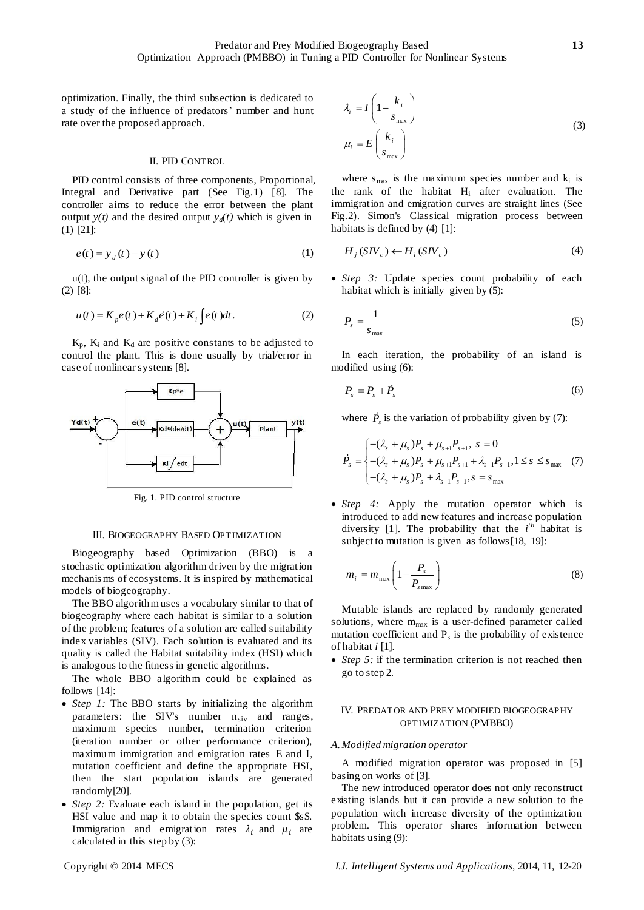optimization. Finally, the third subsection is dedicated to a study of the influence of predators' number and hunt rate over the proposed approach.

## II. PID CONTROL

PID control consists of three components, Proportional, Integral and Derivative part (See Fig.1) [8]. The controller aims to reduce the error between the plant output  $y(t)$  and the desired output  $y_d(t)$  which is given in (1) [21]:

$$
e(t) = y_d(t) - y(t)
$$
 (1)

 $u(t)$ , the output signal of the PID controller is given by (2) [8]:

$$
u(t) = K_{p}e(t) + K_{d}\dot{e}(t) + K_{i}\int e(t)dt.
$$
 (2)

 $K_p$ ,  $K_i$  and  $K_d$  are positive constants to be adjusted to control the plant. This is done usually by trial/error in case of nonlinear systems [8].



Fig. 1. PID control structure

## III. BIOGEOGRAPHY BASED OPTIMIZATION

Biogeography based Optimization (BBO) is a stochastic optimization algorithm driven by the migration mechanis ms of ecosystems. It is inspired by mathematical models of biogeography.

The BBO algorithm uses a vocabulary similar to that of biogeography where each habitat is similar to a solution of the problem; features of a solution are called suitability index variables (SIV). Each solution is evaluated and its quality is called the Habitat suitability index (HSI) which is analogous to the fitness in genetic algorithms.

The whole BBO algorithm could be explained as follows [14]:

- *Step 1:* The BBO starts by initializing the algorithm parameters: the SIV's number  $n_{siv}$  and ranges, maximum species number, termination criterion (iteration number or other performance criterion), maximum immigration and emigration rates E and I, mutation coefficient and define the appropriate HSI, then the start population islands are generated randomly[20].
- *Step 2:* Evaluate each island in the population, get its HSI value and map it to obtain the species count \$s\$. Immigration and emigration rates  $\lambda_i$  and  $\mu_i$  are calculated in this step by (3):

$$
\lambda_i = I \left( 1 - \frac{k_i}{s_{\text{max}}} \right)
$$
\n
$$
\mu_i = E \left( \frac{k_i}{s_{\text{max}}} \right)
$$
\n(3)

where  $s_{max}$  is the maximum species number and  $k_i$  is the rank of the habitat H<sup>i</sup> after evaluation. The immigration and emigration curves are straight lines (See Fig.2). Simon's Classical migration process between habitats is defined by (4) [1]:

$$
H_j(SIV_c) \leftarrow H_i(SIV_c)
$$
 (4)

 *Step 3:* Update species count probability of each habitat which is initially given by (5):

$$
P_s = \frac{1}{s_{\text{max}}} \tag{5}
$$

In each iteration, the probability of an island is modified using (6):

$$
P_s = P_s + P_s \tag{6}
$$

where  $P_s$  is the variation of probability given by (7):

$$
\dot{P}_s = \begin{cases}\n-(\lambda_s + \mu_s)P_s + \mu_{s+1}P_{s+1}, & s = 0 \\
-(\lambda_s + \mu_s)P_s + \mu_{s+1}P_{s+1} + \lambda_{s-1}P_{s-1}, & 1 \le s \le s_{\max} \\
-(\lambda_s + \mu_s)P_s + \lambda_{s-1}P_{s-1}, & s = s_{\max}\n\end{cases} (7)
$$

 *Step 4:* Apply the mutation operator which is introduced to add new features and increase population diversity [1]. The probability that the  $i^{th}$  habitat is subject to mutation is given as follows[18, 19]:

$$
m_i = m_{\text{max}} \left( 1 - \frac{P_s}{P_{s \text{max}}} \right)
$$
 (8)

Mutable islands are replaced by randomly generated solutions, where  $m_{max}$  is a user-defined parameter called mutation coefficient and  $P_s$  is the probability of existence of habitat *i* [1].

 *Step 5:* if the termination criterion is not reached then go to step 2.

# IV. PREDATOR AND PREY MODIFIED BIOGEOGRAPHY OPTIMIZATION (PMBBO)

#### *A.Modified migration operator*

A modified migration operator was proposed in [5] basing on works of [3].

The new introduced operator does not only reconstruct existing islands but it can provide a new solution to the population witch increase diversity of the optimization problem. This operator shares information between habitats using (9):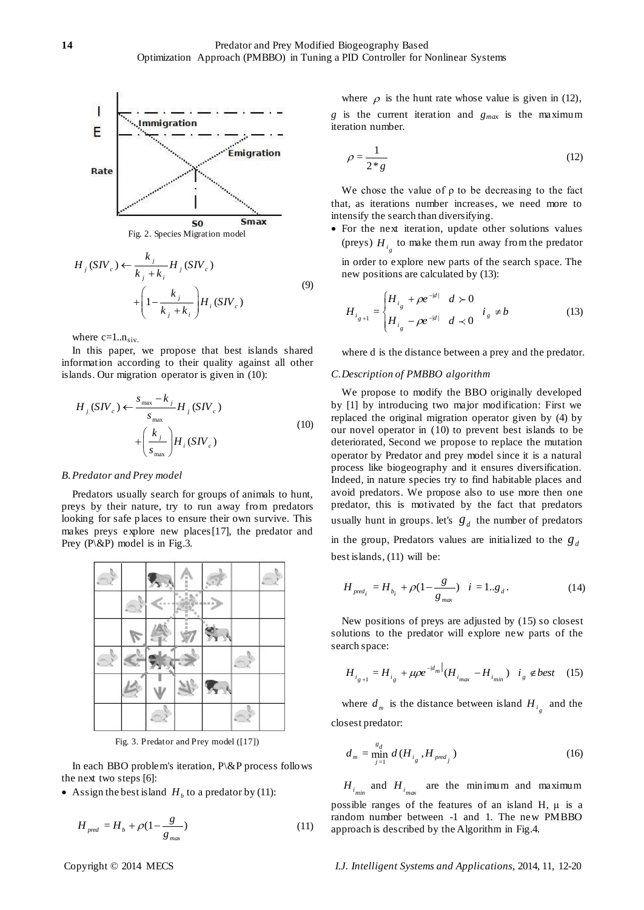

$$
H_j(SIV_c) \leftarrow \frac{k_j}{k_j + k_i} H_j(SIV_c)
$$
  
+ 
$$
\left(1 - \frac{k_j}{k_j + k_i}\right) H_i(SIV_c)
$$
 (9)

where  $c=1..n_{siv}$ .

In this paper, we propose that best islands shared information according to their quality against all other islands. Our migration operator is given in (10):

$$
H_j(SIV_c) \leftarrow \frac{s_{\text{max}} - k_j}{s_{\text{max}}} H_j(SIV_c)
$$
  
+ 
$$
\left(\frac{k_j}{s_{\text{max}}}\right) H_i(SIV_c)
$$
 (10)

## *B.Predator and Prey model*

Predators usually search for groups of animals to hunt, preys by their nature, try to run away from predators looking for safe places to ensure their own survive. This makes preys explore new places[17], the predator and Prey  $(P \& P)$  model is in Fig.3.



Fig. 3. Predator and Prey model ([17])

In each BBO problem's iteration, P\&P process follows the next two steps [6]:

• Assign the best island  $H_b$  to a predator by (11):

$$
H_{\text{pred}} = H_b + \rho (1 - \frac{g}{g_{\text{max}}})
$$
\n(11)

where  $\rho$  is the hunt rate whose value is given in (12), *g* is the current iteration and *gmax* is the maximum iteration number.

$$
\rho = \frac{1}{2 \times g} \tag{12}
$$

We chose the value of  $\rho$  to be decreasing to the fact that, as iterations number increases, we need more to intensify the search than diversifying.

 For the next iteration, update other solutions values (preys)  $H_{i_g}$  to make them run away from the predator

in order to explore new parts of the search space. The new positions are calculated by (13):

$$
H_{i_{g+1}} = \begin{cases} H_{i_g} + \rho e^{-|d|} & d \succ 0 \\ H_{i_g} - \rho e^{-|d|} & d \prec 0 \end{cases} i_g \neq b \tag{13}
$$

where d is the distance between a prey and the predator.

## *C.Description of PMBBO algorithm*

We propose to modify the BBO originally developed by [1] by introducing two major modification: First we replaced the original migration operator given by (4) by our novel operator in (10) to prevent best islands to be deteriorated, Second we propose to replace the mutation operator by Predator and prey model since it is a natural process like biogeography and it ensures diversification. Indeed, in nature species try to find habitable places and avoid predators. We propose also to use more then one predator, this is motivated by the fact that predators usually hunt in groups. let's  $g_d$  the number of predators in the group, Predators values are initialized to the  $g_d$ best islands, (11) will be:

$$
H_{pred_i} = H_{b_i} + \rho (1 - \frac{g}{g_{max}}) \quad i = 1..g_d.
$$
 (14)

New positions of preys are adjusted by (15) so closest solutions to the predator will explore new parts of the search space:

$$
H_{i_{g+1}} = H_{i_g} + \mu \rho e^{-|d_m|} (H_{i_{max}} - H_{i_{min}}) \quad i_g \notin best \quad (15)
$$

where  $d_m$  is the distance between island  $H_{i_g}$  and the closest predator:

$$
d_m = \min_{j=1}^{s_d} d(H_{i_g}, H_{\text{pred}_j})
$$
 (16)

 $H_{i_{min}}$  and  $H_{i_{max}}$  are the minimum and maximum possible ranges of the features of an island H,  $\mu$  is a random number between -1 and 1. The new PMBBO approach is described by the Algorithm in Fig.4.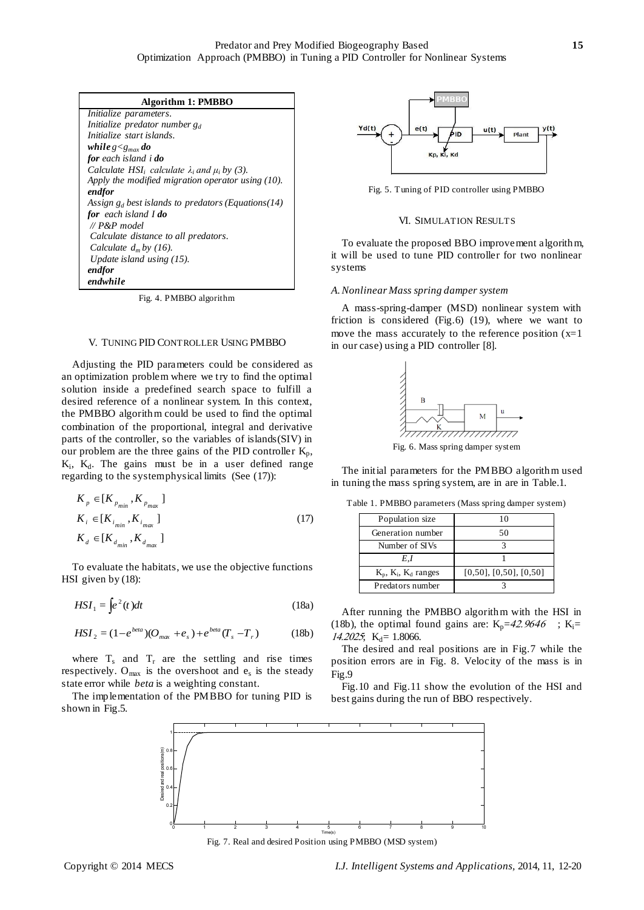| Algorithm 1: PMBBO                                       |
|----------------------------------------------------------|
| Initialize parameters.                                   |
| Initialize predator number $g_d$                         |
| Initialize start islands.                                |
| while $g < g_{max}$ do                                   |
| <b>for</b> each island i <b>do</b>                       |
| Calculate HSI; calculate $\lambda_i$ and $\mu_i$ by (3). |
| Apply the modified migration operator using $(10)$ .     |
| endfor                                                   |
| Assign $g_d$ best islands to predators (Equations (14)   |
| for each island I do                                     |
| $\mathcal{U}$ P&P model                                  |
| Calculate distance to all predators.                     |
| Calculate $d_m$ by (16).                                 |
| Update island using $(15)$ .                             |
| endfor                                                   |
| endwhile                                                 |

Fig. 4. PMBBO algorithm

#### V. TUNING PID CONTROLLER USING PMBBO

Adjusting the PID parameters could be considered as an optimization problem where we try to find the optimal solution inside a predefined search space to fulfill a desired reference of a nonlinear system. In this context, the PMBBO algorithm could be used to find the optimal combination of the proportional, integral and derivative parts of the controller, so the variables of islands(SIV) in our problem are the three gains of the PID controller  $K_p$ ,  $K_i$ ,  $K_d$ . The gains must be in a user defined range regarding to the system physical limits (See (17)):

$$
K_p \in [K_{p_{min}}, K_{p_{max}}]
$$
  
\n
$$
K_i \in [K_{i_{min}}, K_{i_{max}}]
$$
  
\n
$$
K_d \in [K_{d_{min}}, K_{d_{max}}]
$$
\n(17)

To evaluate the habitats, we use the objective functions HSI given by (18):

$$
HSI_1 = \int e^2(t)dt
$$
 (18a)

$$
HSI_{2} = (1 - e^{beta})(O_{max} + e_{s}) + e^{beta}(T_{s} - T_{r})
$$
 (18b)

where  $T_s$  and  $T_r$  are the settling and rise times respectively.  $O_{max}$  is the overshoot and  $e_s$  is the steady state error while *beta* is a weighting constant.

The implementation of the PMBBO for tuning PID is shown in Fig.5.



Fig. 5. Tuning of PID controller using PMBBO

#### VI. SIMULATION RESULTS

To evaluate the proposed BBO improvement algorithm, it will be used to tune PID controller for two nonlinear systems

## *A.Nonlinear Mass spring damper system*

A mass-spring-damper (MSD) nonlinear system with friction is considered (Fig.6) (19), where we want to move the mass accurately to the reference position  $(x=1)$ in our case) using a PID controller [8].



Fig. 6. Mass spring damper system

The initial parameters for the PMBBO algorithm used in tuning the mass spring system, are in are in Table.1.

| Population size              | 10                             |
|------------------------------|--------------------------------|
| Generation number            | 50                             |
| Number of SIVs               |                                |
| E.I                          |                                |
| $K_p$ , $K_i$ , $K_d$ ranges | $[0,50]$ , $[0,50]$ , $[0,50]$ |
| Predators number             |                                |

Table 1. PMBBO parameters (Mass spring damper system)

After running the PMBBO algorithm with the HSI in (18b), the optimal found gains are:  $K_p = 42.9646$ ;  $K_i =$  $14.2025$ ; K<sub>d</sub>= 1.8066.

The desired and real positions are in Fig.7 while the position errors are in Fig. 8. Velocity of the mass is in Fig.9

Fig.10 and Fig.11 show the evolution of the HSI and best gains during the run of BBO respectively.



Fig. 7. Real and desired Position using PMBBO (MSD system)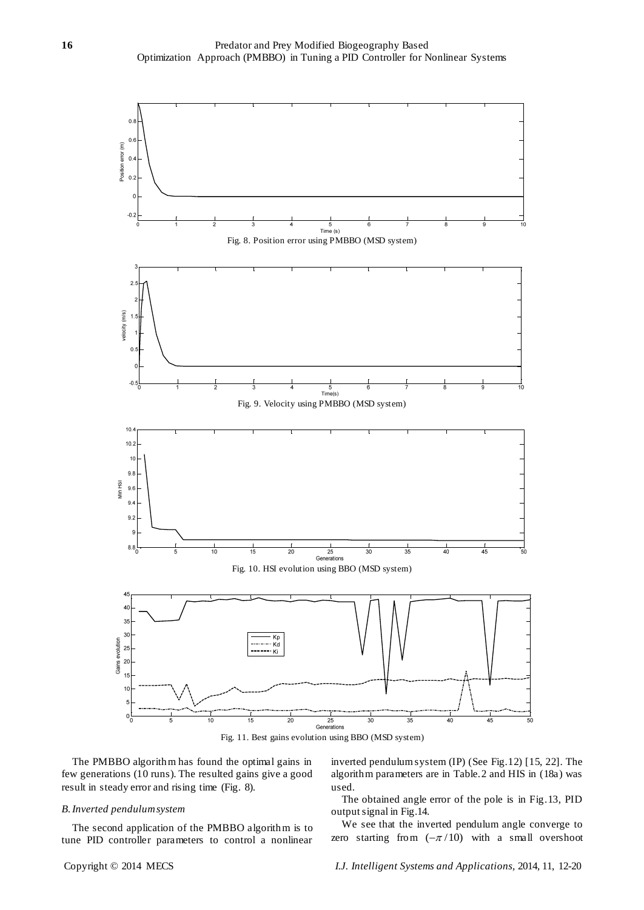

The PMBBO algorithm has found the optimal gains in few generations (10 runs). The resulted gains give a good result in steady error and rising time (Fig. 8).

# *B.Inverted pendulum system*

The second application of the PMBBO algorithm is to tune PID controller parameters to control a nonlinear inverted pendulum system (IP) (See Fig.12) [15, 22]. The algorithm parameters are in Table.2 and HIS in (18a) was used.

The obtained angle error of the pole is in Fig.13, PID output signal in Fig.14.

We see that the inverted pendulum angle converge to zero starting from  $(-\pi/10)$  with a small overshoot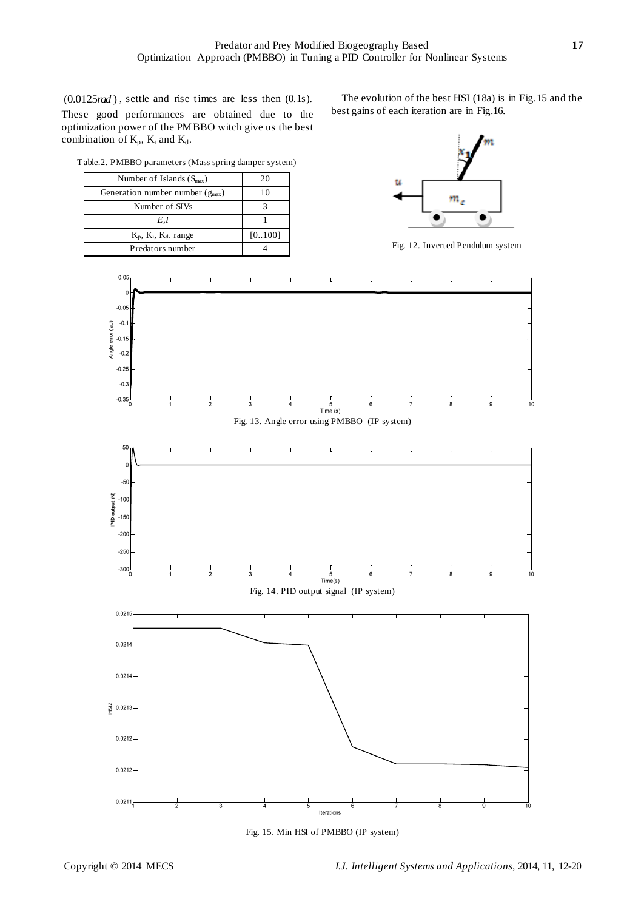$(0.0125 \text{ rad})$ , settle and rise times are less then  $(0.1s)$ . These good performances are obtained due to the optimization power of the PMBBO witch give us the best combination of  $K_p$ ,  $K_i$  and  $K_d$ .

Table.2. PMBBO parameters (Mass spring damper system)

| Number of Islands $(S_{\text{max}})$ | 20     |
|--------------------------------------|--------|
| Generation number number $(g_{max})$ | 10     |
| Number of SIVs                       |        |
| E.I                                  |        |
| $K_p$ , $K_i$ , $K_d$ . range        | [0100] |
| Predators number                     |        |

The evolution of the best HSI (18a) is in Fig.15 and the best gains of each iteration are in Fig.16.



Fig. 12. Inverted Pendulum system



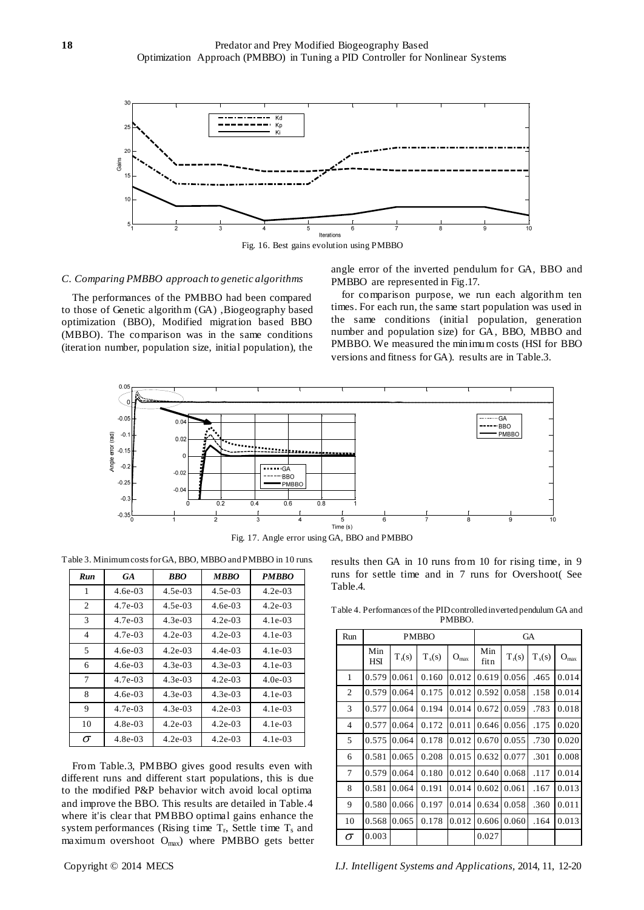

Fig. 16. Best gains evolution using PMBBO

# *C. Comparing PMBBO approach to genetic algorithms*

The performances of the PMBBO had been compared to those of Genetic algorithm (GA) ,Biogeography based optimization (BBO), Modified migration based BBO (MBBO). The comparison was in the same conditions (iteration number, population size, initial population), the angle error of the inverted pendulum for GA, BBO and PMBBO are represented in Fig.17.

for comparison purpose, we run each algorithm ten times. For each run, the same start population was used in the same conditions (initial population, generation number and population size) for GA, BBO, MBBO and PMBBO. We measured the minimum costs (HSI for BBO versions and fitness for GA). results are in Table.3.



Fig. 17. Angle error using GA, BBO and PMBBO

Table 3. Minimum costs for GA, BBO, MBBO and PMBBO in 10 runs.

| Run      | GA         | <b>BBO</b> | MBBO      | <b>PMBBO</b> |
|----------|------------|------------|-----------|--------------|
| 1        | $4.6e-03$  | $4.5e-03$  | $4.5e-03$ | $4.2e-03$    |
| 2        | 4.7e-03    | $4.5e-03$  | 4.6e-03   | $4.2e-03$    |
| 3        | 4.7e-03    | $4.3e-03$  | 4.2e-03   | $4.1e-03$    |
| 4        | 4.7e-03    | $4.2e-0.3$ | $4.2e-03$ | $4.1e-0.3$   |
| 5        | $4.6e-03$  | $4.2e-0.3$ | $4.4e-03$ | $4.1e-0.3$   |
| 6        | $4.6e-03$  | $4.3e-0.3$ | $4.3e-03$ | $4.1e-03$    |
| 7        | $4.7e-0.3$ | $4.3e-0.3$ | $4.2e-03$ | $4.0e-03$    |
| 8        | $4.6e-03$  | $4.3e-03$  | $4.3e-03$ | $4.1e-0.3$   |
| 9        | $4.7e-0.3$ | $4.3e-0.3$ | $4.2e-03$ | $4.1e-03$    |
| 10       | $4.8e-0.3$ | $4.2e-0.3$ | $4.2e-03$ | $4.1e-03$    |
| $\sigma$ | $4.8e-0.3$ | $4.2e-0.3$ | $4.2e-03$ | $4.1e-03$    |

From Table.3, PMBBO gives good results even with different runs and different start populations, this is due to the modified P&P behavior witch avoid local optima and improve the BBO. This results are detailed in Table.4 where it'is clear that PMBBO optimal gains enhance the system performances (Rising time  $T_r$ , Settle time  $T_s$  and maximum overshoot Omax) where PMBBO gets better

results then GA in 10 runs from 10 for rising time, in 9 runs for settle time and in 7 runs for Overshoot( See Table.4.

Table 4. Performances of the PID controlled inverted pendulum GA and PMBBO.

| Run            | <b>PMBBO</b>      |          |          | <b>GA</b> |             |          |          |                  |
|----------------|-------------------|----------|----------|-----------|-------------|----------|----------|------------------|
|                | Min<br><b>HSI</b> | $T_r(s)$ | $T_s(s)$ | $O_{max}$ | Min<br>fitn | $T_r(s)$ | $T_s(s)$ | $O_{\text{max}}$ |
| 1              | 0.579             | 0.061    | 0.160    | 0.012     | 0.619       | 0.056    | .465     | 0.014            |
| 2              | 0.579             | 0.064    | 0.175    | 0.012     | 0.592       | 0.058    | .158     | 0.014            |
| 3              | 0.577             | 0.064    | 0.194    | 0.014     | 0.672       | 0.059    | .783     | 0.018            |
| $\overline{4}$ | 0.577             | 0.064    | 0.172    | 0.011     | 0.646       | 0.056    | .175     | 0.020            |
| 5              | 0.575             | 0.064    | 0.178    | 0.012     | 0.670       | 0.055    | .730     | 0.020            |
| 6              | 0.581             | 0.065    | 0.208    | 0.015     | 0.632       | 0.077    | .301     | 0.008            |
| $\overline{7}$ | 0.579             | 0.064    | 0.180    | 0.012     | 0.640       | 0.068    | .117     | 0.014            |
| 8              | 0.581             | 0.064    | 0.191    | 0.014     | 0.602       | 0.061    | .167     | 0.013            |
| 9              | 0.580             | 0.066    | 0.197    | 0.014     | 0.634       | 0.058    | .360     | 0.011            |
| 10             | 0.568             | 0.065    | 0.178    | 0.012     | 0.606       | 0.060    | .164     | 0.013            |
| σ              | 0.003             |          |          |           | 0.027       |          |          |                  |

Copyright © 2014 MECS *I.J. Intelligent Systems and Applications,* 2014, 11, 12-20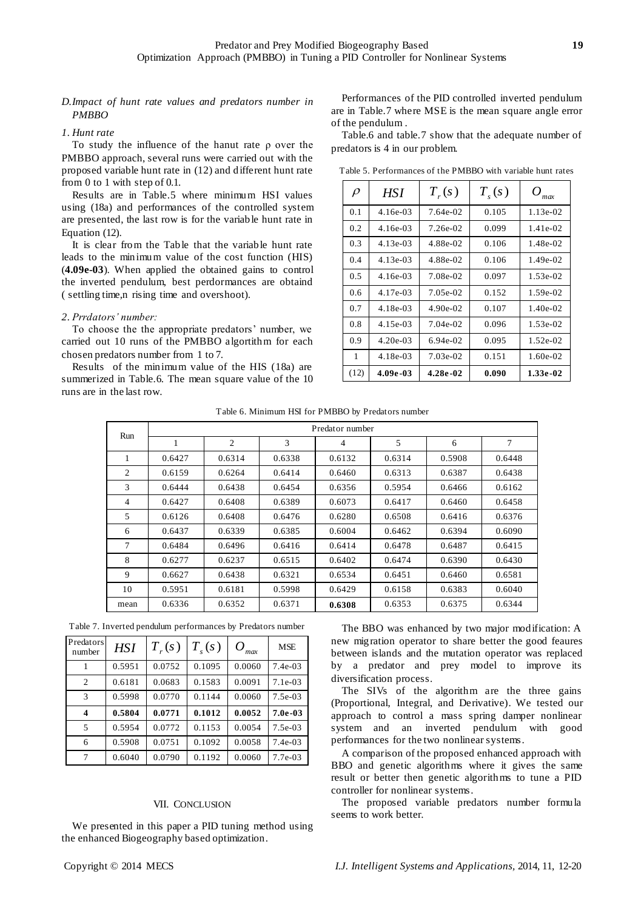# *D.Impact of hunt rate values and predators number in PMBBO*

*1. Hunt rate*

To study the influence of the hanut rate ρ over the PMBBO approach, several runs were carried out with the proposed variable hunt rate in (12) and different hunt rate from 0 to 1 with step of 0.1.

Results are in Table.5 where minimum HSI values using (18a) and performances of the controlled system are presented, the last row is for the variable hunt rate in Equation (12).

It is clear from the Table that the variable hunt rate leads to the minimum value of the cost function (HIS) (**4.09e-03**). When applied the obtained gains to control the inverted pendulum, best perdormances are obtaind ( settling time,n rising time and overshoot).

*2. Prrdators' number:*

To choose the the appropriate predators' number, we carried out 10 runs of the PMBBO algortithm for each chosen predators number from 1 to 7.

Results of the minimum value of the HIS (18a) are summerized in Table.6. The mean square value of the 10 runs are in the last row.

Performances of the PID controlled inverted pendulum are in Table.7 where MSE is the mean square angle error of the pendulum .

Table.6 and table.7 show that the adequate number of predators is 4 in our problem.

| $\rho$ | HSI        | $T_{r}(s)$ | $T_{s}(s)$ | $O_{\text{max}}$ |
|--------|------------|------------|------------|------------------|
| 0.1    | $4.16e-03$ | 7.64e-02   | 0.105      | $1.13e-02$       |
| 0.2    | $4.16e-03$ | 7.26e-02   | 0.099      | $1.41e-02.$      |
| 0.3    | $4.13e-03$ | 4.88e-02   | 0.106      | 1.48e-02         |
| 0.4    | $4.13e-03$ | 4.88e-02   | 0.106      | $1.49e-02$       |
| 0.5    | $4.16e-03$ | 7.08e-02   | 0.097      | $1.53e-02$       |
| 0.6    | 4.17e-03   | 7.05e-02   | 0.152      | $1.59e-02$       |
| 0.7    | $4.18e-03$ | $4.90e-02$ | 0.107      | $1.40e-02$       |
| 0.8    | $4.15e-03$ | $7.04e-02$ | 0.096      | $1.53e-02$       |
| 0.9    | $4.20e-03$ | $6.94e-02$ | 0.095      | $1.52e-02$       |
| 1      | $4.18e-03$ | $7.03e-02$ | 0.151      | $1.60e-02$       |
| (12)   | 4.09e-03   | 4.28e-02   | 0.090      | $1.33e-02$       |

Table 5. Performances of the PMBBO with variable hunt rates

|                | Predator number |        |        |                |        |        |        |
|----------------|-----------------|--------|--------|----------------|--------|--------|--------|
| Run            | 1               | 2      | 3      | $\overline{4}$ | 5      | 6      | 7      |
| 1              | 0.6427          | 0.6314 | 0.6338 | 0.6132         | 0.6314 | 0.5908 | 0.6448 |
| 2              | 0.6159          | 0.6264 | 0.6414 | 0.6460         | 0.6313 | 0.6387 | 0.6438 |
| 3              | 0.6444          | 0.6438 | 0.6454 | 0.6356         | 0.5954 | 0.6466 | 0.6162 |
| $\overline{4}$ | 0.6427          | 0.6408 | 0.6389 | 0.6073         | 0.6417 | 0.6460 | 0.6458 |
| 5              | 0.6126          | 0.6408 | 0.6476 | 0.6280         | 0.6508 | 0.6416 | 0.6376 |
| 6              | 0.6437          | 0.6339 | 0.6385 | 0.6004         | 0.6462 | 0.6394 | 0.6090 |
| 7              | 0.6484          | 0.6496 | 0.6416 | 0.6414         | 0.6478 | 0.6487 | 0.6415 |
| 8              | 0.6277          | 0.6237 | 0.6515 | 0.6402         | 0.6474 | 0.6390 | 0.6430 |
| 9              | 0.6627          | 0.6438 | 0.6321 | 0.6534         | 0.6451 | 0.6460 | 0.6581 |
| 10             | 0.5951          | 0.6181 | 0.5998 | 0.6429         | 0.6158 | 0.6383 | 0.6040 |
| mean           | 0.6336          | 0.6352 | 0.6371 | 0.6308         | 0.6353 | 0.6375 | 0.6344 |

| Table 7. Inverted pendulum performances by Predators number |  |  |
|-------------------------------------------------------------|--|--|
|-------------------------------------------------------------|--|--|

| Predators<br>number     | <b>HSI</b> | $T_{r}(s)$ | $T_{s}(s)$ | $\Omega$<br>max | <b>MSE</b> |
|-------------------------|------------|------------|------------|-----------------|------------|
| 1                       | 0.5951     | 0.0752     | 0.1095     | 0.0060          | $7.4e-03$  |
| $\overline{c}$          | 0.6181     | 0.0683     | 0.1583     | 0.0091          | $7.1e-03$  |
| 3                       | 0.5998     | 0.0770     | 0.1144     | 0.0060          | $7.5e-03$  |
| $\overline{\mathbf{4}}$ | 0.5804     | 0.0771     | 0.1012     | 0.0052          | $7.0e-03$  |
| 5                       | 0.5954     | 0.0772     | 0.1153     | 0.0054          | $7.5e-03$  |
| 6                       | 0.5908     | 0.0751     | 0.1092     | 0.0058          | $7.4e-03$  |
| 7                       | 0.6040     | 0.0790     | 0.1192     | 0.0060          | 7.7e-03    |

# VII. CONCLUSION

We presented in this paper a PID tuning method using the enhanced Biogeography based optimization.

The BBO was enhanced by two major modification: A new migration operator to share better the good feaures between islands and the mutation operator was replaced by a predator and prey model to improve its diversification process.

The SIVs of the algorithm are the three gains (Proportional, Integral, and Derivative). We tested our approach to control a mass spring damper nonlinear system and an inverted pendulum with good performances for the two nonlinear systems.

A comparison of the proposed enhanced approach with BBO and genetic algorithms where it gives the same result or better then genetic algorithms to tune a PID controller for nonlinear systems.

The proposed variable predators number formula seems to work better.